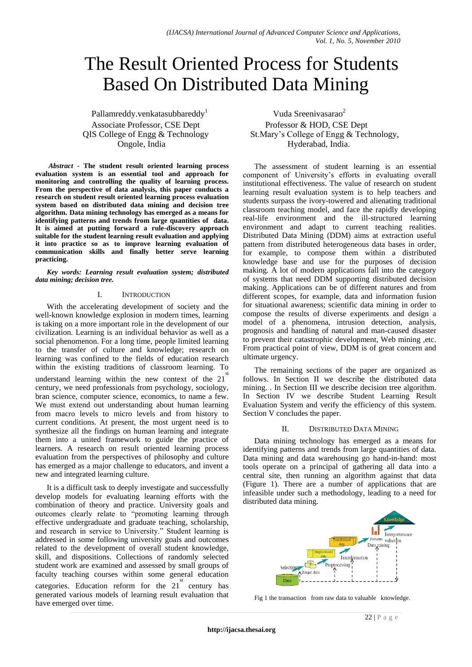# The Result Oriented Process for Students Based On Distributed Data Mining

Pallamreddy.venkatasubbareddy<sup>1</sup> Associate Professor, CSE Dept Professor & HOD, CSE Dept

*Abstract* **- The student result oriented learning process evaluation system is an essential tool and approach for monitoring and controlling the quality of learning process. From the perspective of data analysis, this paper conducts a research on student result oriented learning process evaluation system based on distributed data mining and decision tree algorithm. Data mining technology has emerged as a means for identifying patterns and trends from large quantities of data. It is aimed at putting forward a rule-discovery approach suitable for the student learning result evaluation and applying it into practice so as to improve learning evaluation of communication skills and finally better serve learning practicing.** 

*Key words: Learning result evaluation system; distributed data mining; decision tree.*

## I. INTRODUCTION

With the accelerating development of society and the well-known knowledge explosion in modern times, learning is taking on a more important role in the development of our civilization. Learning is an individual behavior as well as a social phenomenon. For a long time, people limited learning to the transfer of culture and knowledge; research on learning was confined to the fields of education research within the existing traditions of classroom learning. To understand learning within the new context of the 21 st century, we need professionals from psychology, sociology, bran science, computer science, economics, to name a few. We must extend out understanding about human learning from macro levels to micro levels and from history to current conditions. At present, the most urgent need is to synthesize all the findings on human learning and integrate them into a united framework to guide the practice of learners. A research on result oriented learning process evaluation from the perspectives of philosophy and culture has emerged as a major challenge to educators, and invent a new and integrated learning culture.

It is a difficult task to deeply investigate and successfully develop models for evaluating learning efforts with the combination of theory and practice. University goals and outcomes clearly relate to "promoting learning through effective undergraduate and graduate teaching, scholarship, and research in service to University." Student learning is addressed in some following university goals and outcomes related to the development of overall student knowledge, skill, and dispositions. Collections of randomly selected student work are examined and assessed by small groups of faculty teaching courses within some general education categories. Education reform for the  $21^{\circ}$  century has generated various models of learning result evaluation that have emerged over time.

Vuda Sreenivasarao<sup>2</sup> QIS College of Engg & Technology St.Mary's College of Engg & Technology, Ongole, India Hyderabad, India.

> The assessment of student learning is an essential component of University's efforts in evaluating overall institutional effectiveness. The value of research on student learning result evaluation system is to help teachers and students surpass the ivory-towered and alienating traditional classroom teaching model, and face the rapidly developing real-life environment and the ill-structured learning environment and adapt to current teaching realities. Distributed Data Mining (DDM) aims at extraction useful pattern from distributed heterogeneous data bases in order, for example, to compose them within a distributed knowledge base and use for the purposes of decision making. A lot of modern applications fall into the category of systems that need DDM supporting distributed decision making. Applications can be of different natures and from different scopes, for example, data and information fusion for situational awareness; scientific data mining in order to compose the results of diverse experiments and design a model of a phenomena, intrusion detection, analysis, prognosis and handling of natural and man-caused disaster to prevent their catastrophic development, Web mining ,etc. From practical point of view, DDM is of great concern and ultimate urgency.

> The remaining sections of the paper are organized as follows. In Section II we describe the distributed data mining. . In Section III we describe decision tree algorithm. In Section IV we describe Student Learning Result Evaluation System and verify the efficiency of this system. Section V concludes the paper.

# II. DISTRIBUTED DATA MINING

Data mining technology has emerged as a means for identifying patterns and trends from large quantities of data. Data mining and data warehousing go hand-in-hand: most tools operate on a principal of gathering all data into a central site, then running an algorithm against that data (Figure 1). There are a number of applications that are infeasible under such a methodology, leading to a need for distributed data mining.



Fig 1 the transaction from raw data to valuable knowledge.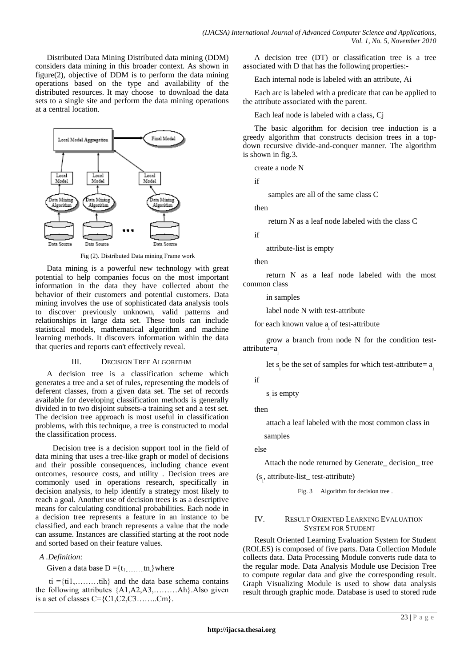Distributed Data Mining Distributed data mining (DDM) considers data mining in this broader context. As shown in figure(2), objective of DDM is to perform the data mining operations based on the type and availability of the distributed resources. It may choose to download the data sets to a single site and perform the data mining operations at a central location.



Fig (2). Distributed Data mining Frame work

Data mining is a powerful new technology with great potential to help companies focus on the most important information in the data they have collected about the behavior of their customers and potential customers. Data mining involves the use of sophisticated data analysis tools to discover previously unknown, valid patterns and relationships in large data set. These tools can include statistical models, mathematical algorithm and machine learning methods. It discovers information within the data that queries and reports can't effectively reveal.

## III. DECISION TREE ALGORITHM

A decision tree is a classification scheme which generates a tree and a set of rules, representing the models of deferent classes, from a given data set. The set of records available for developing classification methods is generally divided in to two disjoint subsets-a training set and a test set. The decision tree approach is most useful in classification problems, with this technique, a tree is constructed to modal the classification process.

 Decision tree is a decision support tool in the field of data mining that uses a tree-like graph or model of decisions and their possible consequences, including chance event outcomes, resource costs, and utility . Decision trees are commonly used in operations research, specifically in decision analysis, to help identify a strategy most likely to reach a goal. Another use of decision trees is as a descriptive means for calculating conditional probabilities. Each node in a decision tree represents a feature in an instance to be classified, and each branch represents a value that the node can assume. Instances are classified starting at the root node and sorted based on their feature values.

# *A .Definition:*

Given a data base  $D = \{t_1, \ldots, t_n\}$  where

 $ti = {t i 1, \ldots, t i h}$  and the data base schema contains the following attributes {A1,A2,A3,………Ah}.Also given is a set of classes  $C = \{C1, C2, C3, \ldots, Cm\}.$ 

A decision tree (DT) or classification tree is a tree associated with D that has the following properties:-

Each internal node is labeled with an attribute, Ai

Each arc is labeled with a predicate that can be applied to the attribute associated with the parent.

Each leaf node is labeled with a class, Cj

The basic algorithm for decision tree induction is a greedy algorithm that constructs decision trees in a topdown recursive divide-and-conquer manner. The algorithm is shown in fig.3.

create a node N

if

samples are all of the same class C

then

return N as a leaf node labeled with the class C

if

attribute-list is empty

then

 return N as a leaf node labeled with the most common class

in samples

label node N with test-attribute

for each known value  $a_i$  of test-attribute

 grow a branch from node N for the condition testattribute=a i

let  $s_i$  be the set of samples for which test-attribute=  $a_i$ 

if

 $s_i$  is empty

then

 attach a leaf labeled with the most common class in samples

else

Attach the node returned by Generate\_ decision\_ tree

(s i , attribute-list\_ test-attribute)

Fig. 3 Algorithm for decision tree.

# IV. RESULT ORIENTED LEARNING EVALUATION SYSTEM FOR STUDENT

Result Oriented Learning Evaluation System for Student (ROLES) is composed of five parts. Data Collection Module collects data. Data Processing Module converts rude data to the regular mode. Data Analysis Module use Decision Tree to compute regular data and give the corresponding result. Graph Visualizing Module is used to show data analysis result through graphic mode. Database is used to stored rude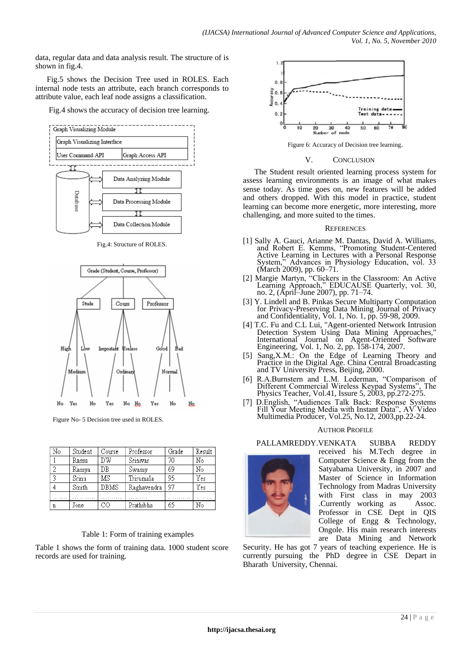data, regular data and data analysis result. The structure of is shown in fig.4.

Fig.5 shows the Decision Tree used in ROLES. Each internal node tests an attribute, each branch corresponds to attribute value, each leaf node assigns a classification.

Fig.4 shows the accuracy of decision tree learning.



Fig.4: Structure of ROLES.



Figure No- 5 Decision tree used in ROLES.

| No | Student | Course      | Professor   | Grade | Result |
|----|---------|-------------|-------------|-------|--------|
|    | Ramu    | DW          | Srinivas    | 70    | N٥     |
|    | Ramya   | DB          | Swamy       | 69    | N٥     |
|    | Srinu   | ΜS          | Trirumala   | 95    | Yes    |
|    | Smith   | <b>DBMS</b> | Raghavendra | 97    | Yes    |
| .  |         | .           |             | .     |        |
| n  | Jone    |             | Prathibha   | 65    | No     |

# Table 1: Form of training examples

Table 1 shows the form of training data. 1000 student score records are used for training.



Figure 6: Accuracy of Decision tree learning.

## V. CONCLUSION

The Student result oriented learning process system for assess learning environments is an image of what makes sense today. As time goes on, new features will be added and others dropped. With this model in practice, student learning can become more energetic, more interesting, more challenging, and more suited to the times.

## **REFERENCES**

- [1] Sally A. Gauci, Arianne M. Dantas, David A. Williams, and Robert E. Kemms, "Promoting Student-Centered Active Learning in Lectures with a Personal Response System," Advances in Physiology Education, vol. 33 System," Advances in Physiology Education, vol. 33 (March 2009), pp. 60–71.
- [2] Margie Martyn, "Clickers in the Classroom: An Active Learning Approach," EDUCAUSE Quarterly, vol. 30, no. 2, (April–June 2007), pp. 71–74.
- [3] Y. Lindell and B. Pinkas Secure Multiparty Computation for Privacy-Preserving Data Mining Journal of Privacy and Confidentiality, Vol. 1, No. 1, pp. 59-98, 2009.
- [4] T.C. Fu and C.L Lui, "Agent-oriented Network Intrusion Detection System Using Data Mining Approaches," International Journal on Agent-Oriented Software Engineering, Vol. 1, No. 2, pp. 158-174, 2007.
- [5] Sang,X.M.: On the Edge of Learning Theory and Practice in the Digital Age. China Central Broadcasting and TV University Press, Beijing, 2000.
- [6] R.A.Burnstern and L.M. Lederman, "Comparison of Different Commercial Wireless Keypad Systems", The Physics Teacher, Vol.41, Issure 5, 2003, pp.272-275.
- [7] D.English, "Audiences Talk Back: Response Systems Fill Your Meeting Media with Instant Data", AV Video Multimedia Producer, Vol.25, No.12, 2003,pp.22-24.

## AUTHOR PROFILE

PALLAMREDDY.VENKATA SUBBA REDDY



received his M.Tech degree in Computer Science & Engg from the Satyabama University, in 2007 and Master of Science in Information Technology from Madras University with First class in may 2003 .Currently working as Assoc. Professor in CSE Dept in QIS College of Engg & Technology, Ongole. His main research interests are Data Mining and Network

Security. He has got 7 years of teaching experience. He is currently pursuing the PhD degree in CSE Depart in Bharath University, Chennai.